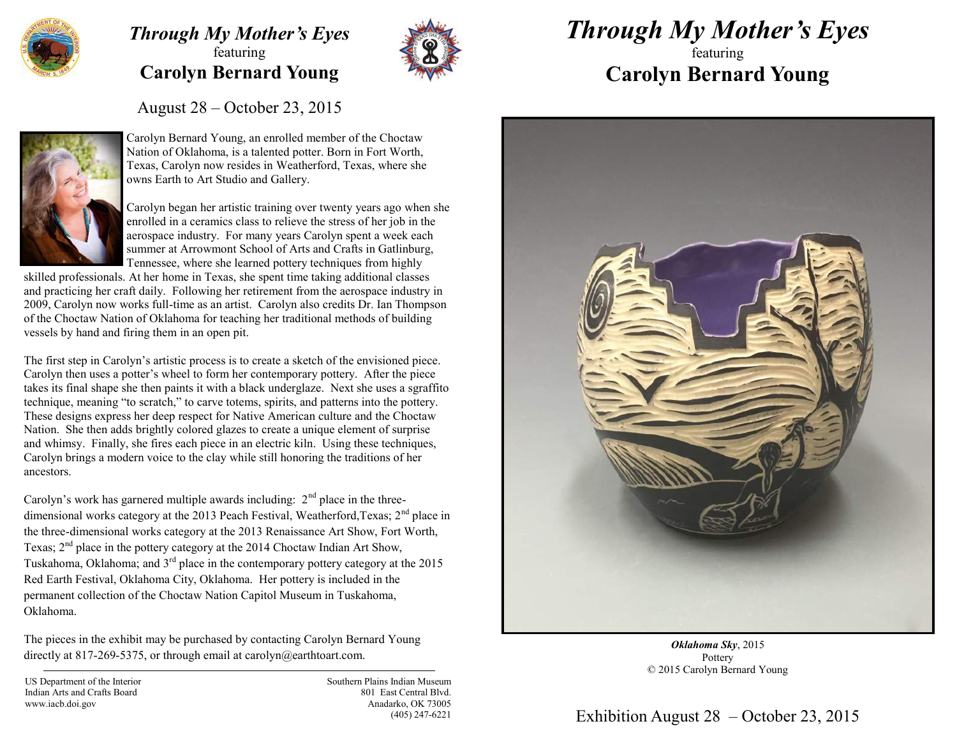

## *Through My Mother's Eyes* featuring **Carolyn Bernard Young**



## *Through My Mother's Eyes*

## featuring **Carolyn Bernard Young**

August 28 – October 23, 2015



Carolyn Bernard Young, an enrolled member of the Choctaw Nation of Oklahoma, is a talented potter. Born in Fort Worth, Texas, Carolyn now resides in Weatherford, Texas, where she owns Earth to Art Studio and Gallery.

Carolyn began her artistic training over twenty years ago when she enrolled in a ceramics class to relieve the stress of her job in the aerospace industry. For many years Carolyn spent a week each summer at Arrowmont School of Arts and Crafts in Gatlinburg, Tennessee, where she learned pottery techniques from highly

skilled professionals. At her home in Texas, she spent time taking additional classes and practicing her craft daily. Following her retirement from the aerospace industry in 2009, Carolyn now works full-time as an artist. Carolyn also credits Dr. Ian Thompson of the Choctaw Nation of Oklahoma for teaching her traditional methods of building vessels by hand and firing them in an open pit.

The first step in Carolyn's artistic process is to create a sketch of the envisioned piece. Carolyn then uses a potter's wheel to form her contemporary pottery. After the piece takes its final shape she then paints it with a black underglaze. Next she uses a sgraffito technique, meaning "to scratch," to carve totems, spirits, and patterns into the pottery. These designs express her deep respect for Native American culture and the Choctaw Nation. She then adds brightly colored glazes to create a unique element of surprise and whimsy. Finally, she fires each piece in an electric kiln. Using these techniques, Carolyn brings a modern voice to the clay while still honoring the traditions of her ancestors.

Carolyn's work has garnered multiple awards including:  $2<sup>nd</sup>$  place in the threedimensional works category at the 2013 Peach Festival, Weatherford, Texas;  $2<sup>nd</sup>$  place in the three-dimensional works category at the 2013 Renaissance Art Show, Fort Worth, Texas;  $2<sup>nd</sup>$  place in the pottery category at the 2014 Choctaw Indian Art Show, Tuskahoma, Oklahoma; and  $3<sup>rd</sup>$  place in the contemporary pottery category at the 2015 Red Earth Festival, Oklahoma City, Oklahoma. Her pottery is included in the permanent collection of the Choctaw Nation Capitol Museum in Tuskahoma, Oklahoma.

The pieces in the exhibit may be purchased by contacting Carolyn Bernard Young directly at 817-269-5375, or through email at carolyn@earthtoart.com.

US Department of the Interior Indian Arts and Crafts Board www.iacb.doi.gov

Southern Plains Indian Museum 801 East Central Blvd. Anadarko, OK 73005 (405) 247-6221



*Oklahoma Sky*, 2015 Pottery © 2015 Carolyn Bernard Young

## Exhibition August 28 – October 23, 2015